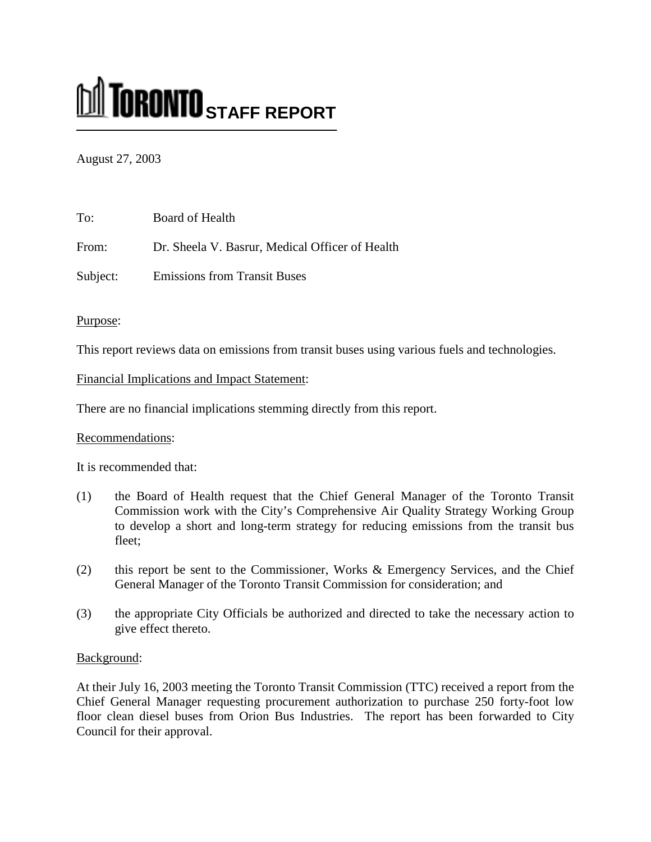# **M** TORONTO STAFF REPORT

## August 27, 2003

| To:      | Board of Health                                 |
|----------|-------------------------------------------------|
| From:    | Dr. Sheela V. Basrur, Medical Officer of Health |
| Subject: | <b>Emissions from Transit Buses</b>             |

### Purpose:

This report reviews data on emissions from transit buses using various fuels and technologies.

Financial Implications and Impact Statement:

There are no financial implications stemming directly from this report.

## Recommendations:

It is recommended that:

- (1) the Board of Health request that the Chief General Manager of the Toronto Transit Commission work with the City's Comprehensive Air Quality Strategy Working Group to develop a short and long-term strategy for reducing emissions from the transit bus fleet;
- (2) this report be sent to the Commissioner, Works & Emergency Services, and the Chief General Manager of the Toronto Transit Commission for consideration; and
- (3) the appropriate City Officials be authorized and directed to take the necessary action to give effect thereto.

## Background:

At their July 16, 2003 meeting the Toronto Transit Commission (TTC) received a report from the Chief General Manager requesting procurement authorization to purchase 250 forty-foot low floor clean diesel buses from Orion Bus Industries. The report has been forwarded to City Council for their approval.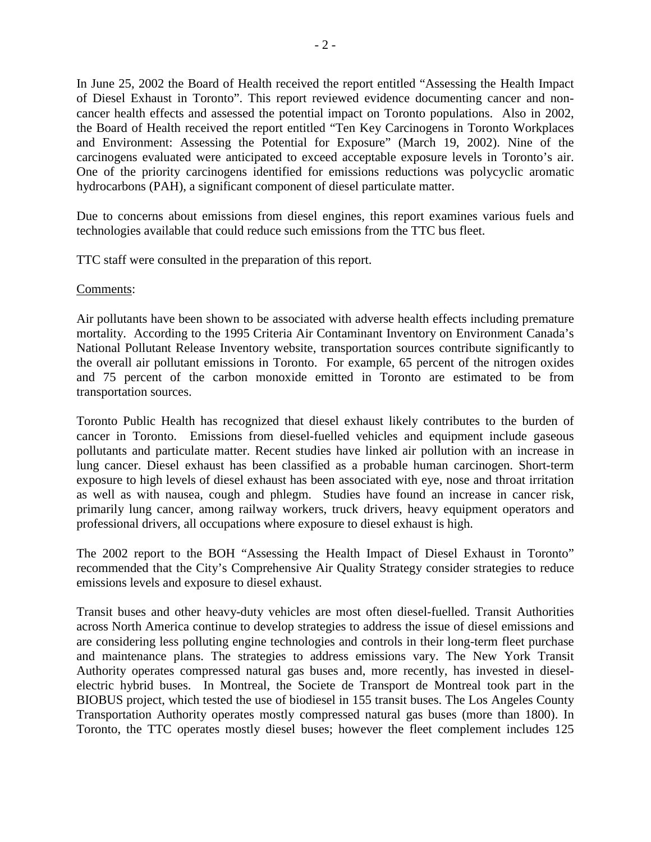In June 25, 2002 the Board of Health received the report entitled "Assessing the Health Impact of Diesel Exhaust in Toronto". This report reviewed evidence documenting cancer and noncancer health effects and assessed the potential impact on Toronto populations. Also in 2002, the Board of Health received the report entitled "Ten Key Carcinogens in Toronto Workplaces and Environment: Assessing the Potential for Exposure" (March 19, 2002). Nine of the carcinogens evaluated were anticipated to exceed acceptable exposure levels in Toronto's air. One of the priority carcinogens identified for emissions reductions was polycyclic aromatic hydrocarbons (PAH), a significant component of diesel particulate matter.

Due to concerns about emissions from diesel engines, this report examines various fuels and technologies available that could reduce such emissions from the TTC bus fleet.

TTC staff were consulted in the preparation of this report.

#### Comments:

Air pollutants have been shown to be associated with adverse health effects including premature mortality. According to the 1995 Criteria Air Contaminant Inventory on Environment Canada's National Pollutant Release Inventory website, transportation sources contribute significantly to the overall air pollutant emissions in Toronto. For example, 65 percent of the nitrogen oxides and 75 percent of the carbon monoxide emitted in Toronto are estimated to be from transportation sources.

Toronto Public Health has recognized that diesel exhaust likely contributes to the burden of cancer in Toronto. Emissions from diesel-fuelled vehicles and equipment include gaseous pollutants and particulate matter. Recent studies have linked air pollution with an increase in lung cancer. Diesel exhaust has been classified as a probable human carcinogen. Short-term exposure to high levels of diesel exhaust has been associated with eye, nose and throat irritation as well as with nausea, cough and phlegm. Studies have found an increase in cancer risk, primarily lung cancer, among railway workers, truck drivers, heavy equipment operators and professional drivers, all occupations where exposure to diesel exhaust is high.

The 2002 report to the BOH "Assessing the Health Impact of Diesel Exhaust in Toronto" recommended that the City's Comprehensive Air Quality Strategy consider strategies to reduce emissions levels and exposure to diesel exhaust.

Transit buses and other heavy-duty vehicles are most often diesel-fuelled. Transit Authorities across North America continue to develop strategies to address the issue of diesel emissions and are considering less polluting engine technologies and controls in their long-term fleet purchase and maintenance plans. The strategies to address emissions vary. The New York Transit Authority operates compressed natural gas buses and, more recently, has invested in dieselelectric hybrid buses. In Montreal, the Societe de Transport de Montreal took part in the BIOBUS project, which tested the use of biodiesel in 155 transit buses. The Los Angeles County Transportation Authority operates mostly compressed natural gas buses (more than 1800). In Toronto, the TTC operates mostly diesel buses; however the fleet complement includes 125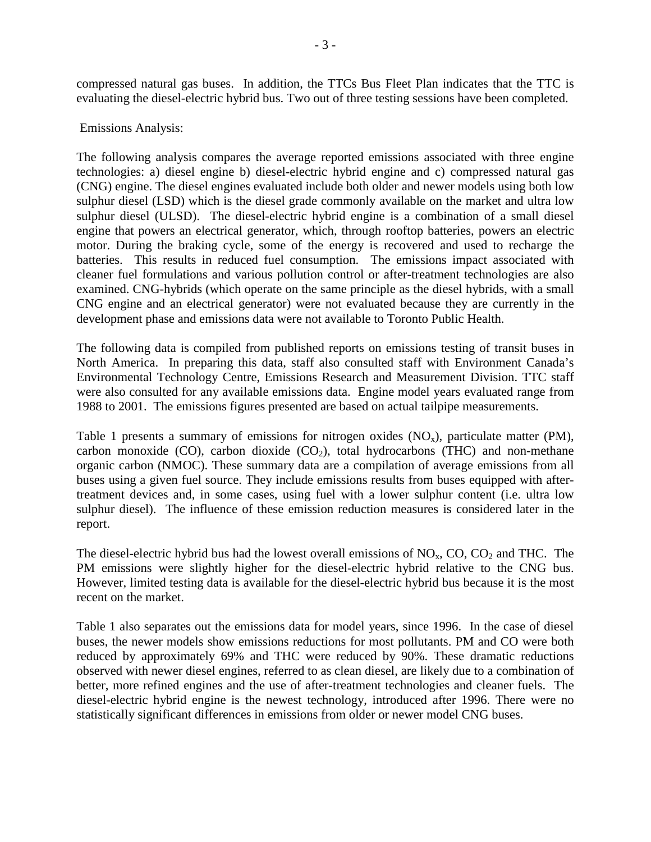compressed natural gas buses. In addition, the TTCs Bus Fleet Plan indicates that the TTC is evaluating the diesel-electric hybrid bus. Two out of three testing sessions have been completed.

#### Emissions Analysis:

The following analysis compares the average reported emissions associated with three engine technologies: a) diesel engine b) diesel-electric hybrid engine and c) compressed natural gas (CNG) engine. The diesel engines evaluated include both older and newer models using both low sulphur diesel (LSD) which is the diesel grade commonly available on the market and ultra low sulphur diesel (ULSD). The diesel-electric hybrid engine is a combination of a small diesel engine that powers an electrical generator, which, through rooftop batteries, powers an electric motor. During the braking cycle, some of the energy is recovered and used to recharge the batteries. This results in reduced fuel consumption. The emissions impact associated with cleaner fuel formulations and various pollution control or after-treatment technologies are also examined. CNG-hybrids (which operate on the same principle as the diesel hybrids, with a small CNG engine and an electrical generator) were not evaluated because they are currently in the development phase and emissions data were not available to Toronto Public Health.

The following data is compiled from published reports on emissions testing of transit buses in North America. In preparing this data, staff also consulted staff with Environment Canada's Environmental Technology Centre, Emissions Research and Measurement Division. TTC staff were also consulted for any available emissions data. Engine model years evaluated range from 1988 to 2001. The emissions figures presented are based on actual tailpipe measurements.

Table 1 presents a summary of emissions for nitrogen oxides  $(NO<sub>x</sub>)$ , particulate matter (PM), carbon monoxide (CO), carbon dioxide  $(CO_2)$ , total hydrocarbons (THC) and non-methane organic carbon (NMOC). These summary data are a compilation of average emissions from all buses using a given fuel source. They include emissions results from buses equipped with aftertreatment devices and, in some cases, using fuel with a lower sulphur content (i.e. ultra low sulphur diesel). The influence of these emission reduction measures is considered later in the report.

The diesel-electric hybrid bus had the lowest overall emissions of  $NO<sub>x</sub>$ , CO, CO<sub>2</sub> and THC. The PM emissions were slightly higher for the diesel-electric hybrid relative to the CNG bus. However, limited testing data is available for the diesel-electric hybrid bus because it is the most recent on the market.

Table 1 also separates out the emissions data for model years, since 1996. In the case of diesel buses, the newer models show emissions reductions for most pollutants. PM and CO were both reduced by approximately 69% and THC were reduced by 90%. These dramatic reductions observed with newer diesel engines, referred to as clean diesel, are likely due to a combination of better, more refined engines and the use of after-treatment technologies and cleaner fuels. The diesel-electric hybrid engine is the newest technology, introduced after 1996. There were no statistically significant differences in emissions from older or newer model CNG buses.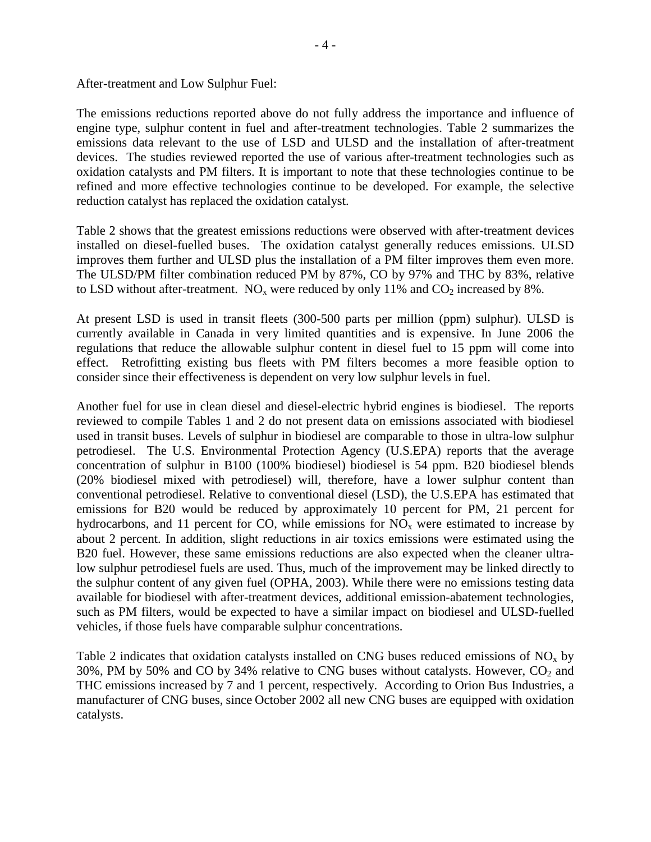After-treatment and Low Sulphur Fuel:

The emissions reductions reported above do not fully address the importance and influence of engine type, sulphur content in fuel and after-treatment technologies. Table 2 summarizes the emissions data relevant to the use of LSD and ULSD and the installation of after-treatment devices. The studies reviewed reported the use of various after-treatment technologies such as oxidation catalysts and PM filters. It is important to note that these technologies continue to be refined and more effective technologies continue to be developed. For example, the selective reduction catalyst has replaced the oxidation catalyst.

Table 2 shows that the greatest emissions reductions were observed with after-treatment devices installed on diesel-fuelled buses. The oxidation catalyst generally reduces emissions. ULSD improves them further and ULSD plus the installation of a PM filter improves them even more. The ULSD/PM filter combination reduced PM by 87%, CO by 97% and THC by 83%, relative to LSD without after-treatment.  $NO_x$  were reduced by only 11% and  $CO_2$  increased by 8%.

At present LSD is used in transit fleets (300-500 parts per million (ppm) sulphur). ULSD is currently available in Canada in very limited quantities and is expensive. In June 2006 the regulations that reduce the allowable sulphur content in diesel fuel to 15 ppm will come into effect. Retrofitting existing bus fleets with PM filters becomes a more feasible option to consider since their effectiveness is dependent on very low sulphur levels in fuel.

Another fuel for use in clean diesel and diesel-electric hybrid engines is biodiesel. The reports reviewed to compile Tables 1 and 2 do not present data on emissions associated with biodiesel used in transit buses. Levels of sulphur in biodiesel are comparable to those in ultra-low sulphur petrodiesel. The U.S. Environmental Protection Agency (U.S.EPA) reports that the average concentration of sulphur in B100 (100% biodiesel) biodiesel is 54 ppm. B20 biodiesel blends (20% biodiesel mixed with petrodiesel) will, therefore, have a lower sulphur content than conventional petrodiesel. Relative to conventional diesel (LSD), the U.S.EPA has estimated that emissions for B20 would be reduced by approximately 10 percent for PM, 21 percent for hydrocarbons, and 11 percent for CO, while emissions for  $NO<sub>x</sub>$  were estimated to increase by about 2 percent. In addition, slight reductions in air toxics emissions were estimated using the B20 fuel. However, these same emissions reductions are also expected when the cleaner ultralow sulphur petrodiesel fuels are used. Thus, much of the improvement may be linked directly to the sulphur content of any given fuel (OPHA, 2003). While there were no emissions testing data available for biodiesel with after-treatment devices, additional emission-abatement technologies, such as PM filters, would be expected to have a similar impact on biodiesel and ULSD-fuelled vehicles, if those fuels have comparable sulphur concentrations.

Table 2 indicates that oxidation catalysts installed on CNG buses reduced emissions of  $NO<sub>x</sub>$  by 30%, PM by 50% and CO by 34% relative to CNG buses without catalysts. However,  $CO_2$  and THC emissions increased by 7 and 1 percent, respectively. According to Orion Bus Industries, a manufacturer of CNG buses, since October 2002 all new CNG buses are equipped with oxidation catalysts.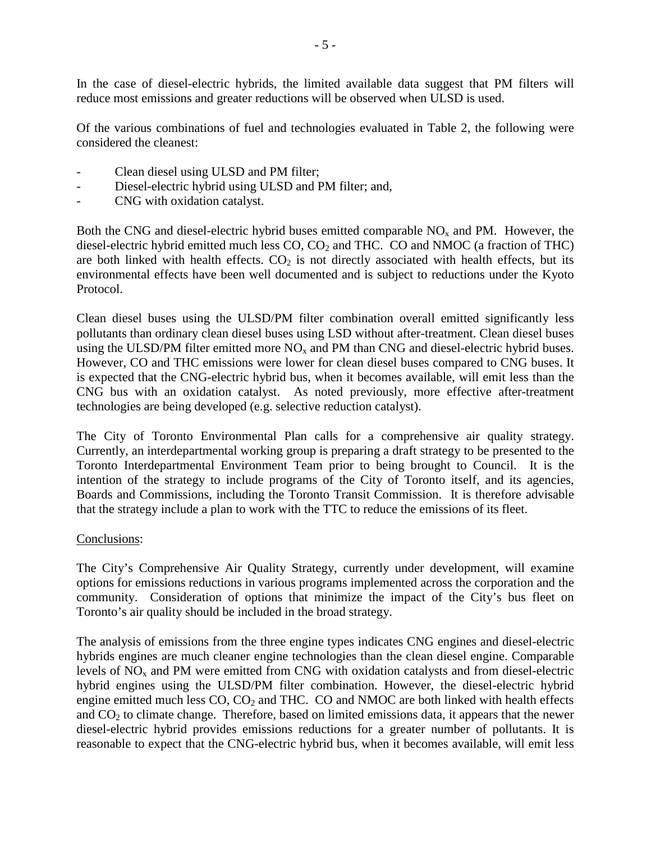In the case of diesel-electric hybrids, the limited available data suggest that PM filters will reduce most emissions and greater reductions will be observed when ULSD is used.

Of the various combinations of fuel and technologies evaluated in Table 2, the following were considered the cleanest:

- Clean diesel using ULSD and PM filter;
- Diesel-electric hybrid using ULSD and PM filter; and,
- CNG with oxidation catalyst.

Both the CNG and diesel-electric hybrid buses emitted comparable  $NO<sub>x</sub>$  and PM. However, the diesel-electric hybrid emitted much less  $CO$ ,  $CO<sub>2</sub>$  and THC.  $CO$  and NMOC (a fraction of THC) are both linked with health effects.  $CO<sub>2</sub>$  is not directly associated with health effects, but its environmental effects have been well documented and is subject to reductions under the Kyoto Protocol.

Clean diesel buses using the ULSD/PM filter combination overall emitted significantly less pollutants than ordinary clean diesel buses using LSD without after-treatment. Clean diesel buses using the ULSD/PM filter emitted more  $NO<sub>x</sub>$  and PM than CNG and diesel-electric hybrid buses. However, CO and THC emissions were lower for clean diesel buses compared to CNG buses. It is expected that the CNG-electric hybrid bus, when it becomes available, will emit less than the CNG bus with an oxidation catalyst. As noted previously, more effective after-treatment technologies are being developed (e.g. selective reduction catalyst).

The City of Toronto Environmental Plan calls for a comprehensive air quality strategy. Currently, an interdepartmental working group is preparing a draft strategy to be presented to the Toronto Interdepartmental Environment Team prior to being brought to Council. It is the intention of the strategy to include programs of the City of Toronto itself, and its agencies, Boards and Commissions, including the Toronto Transit Commission. It is therefore advisable that the strategy include a plan to work with the TTC to reduce the emissions of its fleet.

#### Conclusions:

The City's Comprehensive Air Quality Strategy, currently under development, will examine options for emissions reductions in various programs implemented across the corporation and the community. Consideration of options that minimize the impact of the City's bus fleet on Toronto's air quality should be included in the broad strategy.

The analysis of emissions from the three engine types indicates CNG engines and diesel-electric hybrids engines are much cleaner engine technologies than the clean diesel engine. Comparable levels of  $NO<sub>x</sub>$  and PM were emitted from CNG with oxidation catalysts and from diesel-electric hybrid engines using the ULSD/PM filter combination. However, the diesel-electric hybrid engine emitted much less  $CO$ ,  $CO<sub>2</sub>$  and THC.  $CO$  and NMOC are both linked with health effects and  $CO<sub>2</sub>$  to climate change. Therefore, based on limited emissions data, it appears that the newer diesel-electric hybrid provides emissions reductions for a greater number of pollutants. It is reasonable to expect that the CNG-electric hybrid bus, when it becomes available, will emit less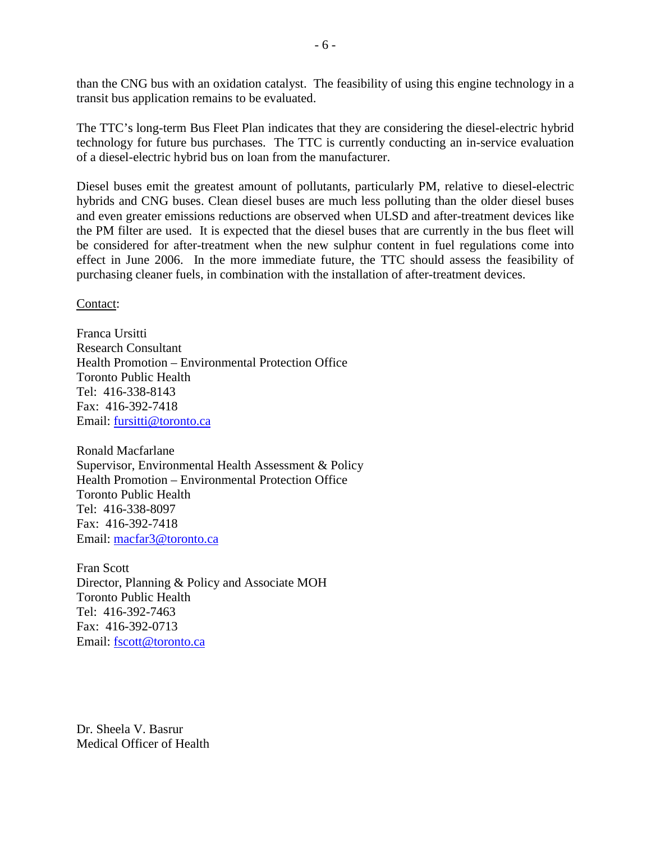than the CNG bus with an oxidation catalyst. The feasibility of using this engine technology in a transit bus application remains to be evaluated.

The TTC's long-term Bus Fleet Plan indicates that they are considering the diesel-electric hybrid technology for future bus purchases. The TTC is currently conducting an in-service evaluation of a diesel-electric hybrid bus on loan from the manufacturer.

Diesel buses emit the greatest amount of pollutants, particularly PM, relative to diesel-electric hybrids and CNG buses. Clean diesel buses are much less polluting than the older diesel buses and even greater emissions reductions are observed when ULSD and after-treatment devices like the PM filter are used. It is expected that the diesel buses that are currently in the bus fleet will be considered for after-treatment when the new sulphur content in fuel regulations come into effect in June 2006. In the more immediate future, the TTC should assess the feasibility of purchasing cleaner fuels, in combination with the installation of after-treatment devices.

Contact:

Franca Ursitti Research Consultant Health Promotion – Environmental Protection Office Toronto Public Health Tel: 416-338-8143 Fax: 416-392-7418 Email: fursitti@toronto.ca

Ronald Macfarlane Supervisor, Environmental Health Assessment & Policy Health Promotion – Environmental Protection Office Toronto Public Health Tel: 416-338-8097 Fax: 416-392-7418 Email: macfar3@toronto.ca

Fran Scott Director, Planning & Policy and Associate MOH Toronto Public Health Tel: 416-392-7463 Fax: 416-392-0713 Email: fscott@toronto.ca

Dr. Sheela V. Basrur Medical Officer of Health